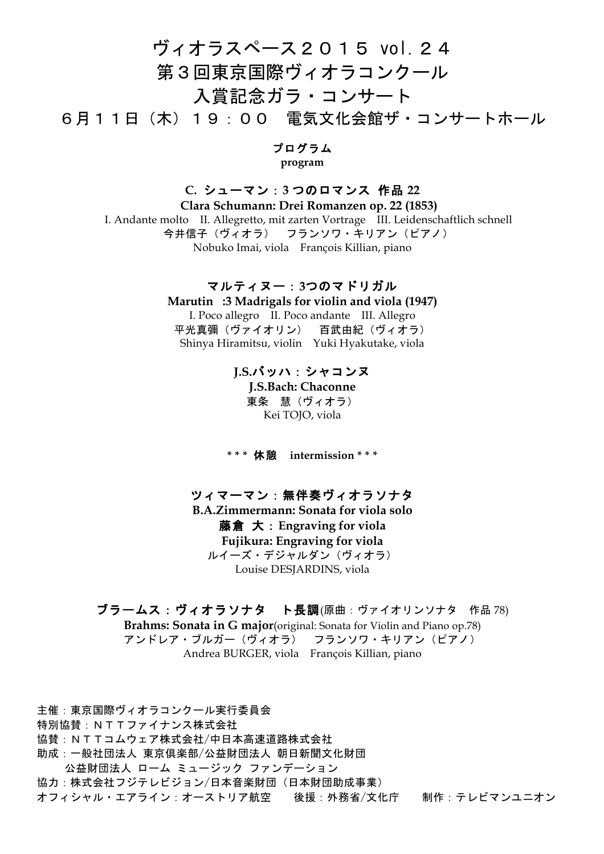# ヴィオラスペース2015 vol.24 第3回東京国際ヴィオラコンクール

入賞記念ガラ・コンサート

6月11日(木)19:00 電気文化会館ザ・コンサートホール

### プログラム

**program**

## **C.** シューマン:**3** つのロマンス 作品 **22**

 **Clara Schumann: Drei Romanzen op. 22 (1853)** I. Andante molto II. Allegretto, mit zarten Vortrage III. Leidenschaftlich schnell 今井信子(ヴィオラ) フランソワ・キリアン(ピアノ) Nobuko Imai, viola François Killian, piano

## マルティヌー:**3**つのマドリガル

**Marutin:3 Madrigals for violin and viola (1947)** I. Poco allegro II. Poco andante III. Allegro 平光真彌(ヴァイオリン) 百武由紀(ヴィオラ) Shinya Hiramitsu, violin Yuki Hyakutake, viola

## **J.S.**バッハ:シャコンヌ

**J.S.Bach: Chaconne** 東条 慧(ヴィオラ) Kei TOJO, viola

**\* \* \*** 休憩 **intermission \* \* \***

# ツィマーマン:無伴奏ヴィオラソナタ

**B.A.Zimmermann: Sonata for viola solo** 藤倉 大:**Engraving for viola Fujikura: Engraving for viola** ルイーズ・デジャルダン(ヴィオラ) Louise DESJARDINS, viola

# ブラームス:ヴィオラソナタ ト長調(原曲:ヴァイオリンソナタ 作品 78)

**Brahms: Sonata in G major**(original: Sonata for Violin and Piano op.78) アンドレア・ブルガー(ヴィオラ) フランソワ・キリアン(ピアノ) Andrea BURGER, viola François Killian, piano

主催:東京国際ヴィオラコンクール実行委員会 特別協賛:NTTファイナンス株式会社 協賛:NTTコムウェア株式会社/中日本高速道路株式会社 助成:一般社団法人 東京倶楽部/公益財団法人 朝日新聞文化財団 公益財団法人 ローム ミュージック ファンデーション 協力:株式会社フジテレビジョン/日本音楽財団(日本財団助成事業) オフィシャル・エアライン:オーストリア航空 後援:外務省/文化庁 制作:テレビマンユニオン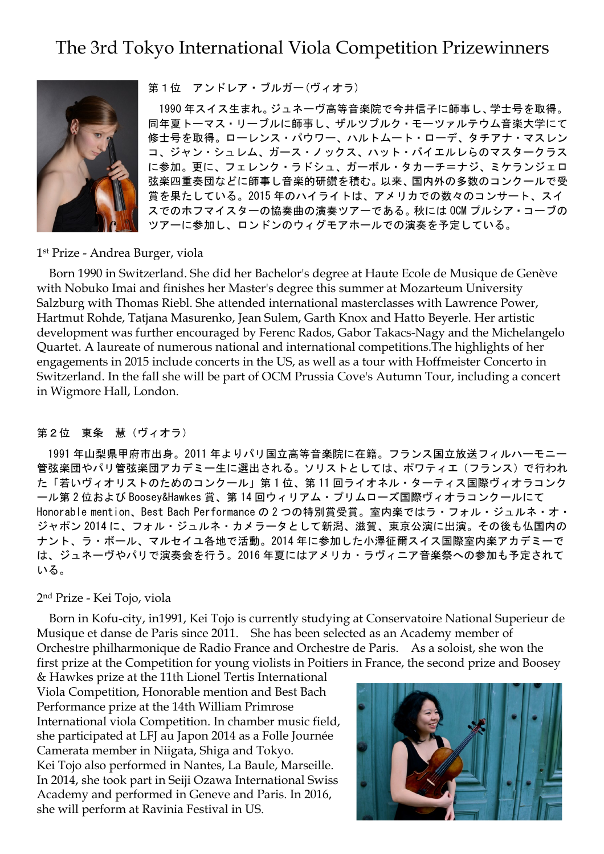# The 3rd Tokyo International Viola Competition Prizewinners



第1位 アンドレア・ブルガー(ヴィオラ)

1990 年スイス生まれ。ジュネーヴ高等音楽院で今井信子に師事し、学士号を取得。 同年夏トーマス・リーブルに師事し、ザルツブルク・モーツァルテウム音楽大学にて 修士号を取得。ローレンス・パウワー、ハルトムート・ローデ、タチアナ・マスレン コ、ジャン・シュレム、ガース・ノックス、ハット・バイエルレらのマスタークラス に参加。更に、フェレンク・ラドシュ、ガーボル・タカーチ=ナジ、ミケランジェロ 弦楽四重奏団などに師事し音楽的研鑽を積む。以来、国内外の多数のコンクールで受 賞を果たしている。2015 年のハイライトは、アメリカでの数々のコンサート、スイ スでのホフマイスターの協奏曲の演奏ツアーである。秋には OCM プルシア・コーブの ツアーに参加し、ロンドンのウィグモアホールでの演奏を予定している。

#### 1st Prize - Andrea Burger, viola

Born 1990 in Switzerland. She did her Bachelor's degree at Haute Ecole de Musique de Genève with Nobuko Imai and finishes her Master's degree this summer at Mozarteum University Salzburg with Thomas Riebl. She attended international masterclasses with Lawrence Power, Hartmut Rohde, Tatjana Masurenko, Jean Sulem, Garth Knox and Hatto Beyerle. Her artistic development was further encouraged by Ferenc Rados, Gabor Takacs-Nagy and the Michelangelo Quartet. A laureate of numerous national and international competitions.The highlights of her engagements in 2015 include concerts in the US, as well as a tour with Hoffmeister Concerto in Switzerland. In the fall she will be part of OCM Prussia Cove's Autumn Tour, including a concert in Wigmore Hall, London.

### 第2位 東条 慧(ヴィオラ)

1991 年山梨県甲府市出身。2011 年よりパリ国立高等音楽院に在籍。フランス国立放送フィルハーモニー 管弦楽団やパリ管弦楽団アカデミー生に選出される。ソリストとしては、ポワティエ(フランス)で行われ た「若いヴィオリストのためのコンクール」第 1 位、第 11 回ライオネル・ターティス国際ヴィオラコンク ール第 2 位および Boosey&Hawkes 賞、第 14 回ウィリアム・プリムローズ国際ヴィオラコンクールにて Honorable mention、Best Bach Performance の2つの特別賞受賞。室内楽ではラ・フォル・ジュルネ・オ・ ジャポン 2014 に、フォル・ジュルネ・カメラータとして新潟、滋賀、東京公演に出演。その後も仏国内の ナント、ラ・ボール、マルセイユ各地で活動。2014 年に参加した小澤征爾スイス国際室内楽アカデミーで は、ジュネーヴやパリで演奏会を行う。2016 年夏にはアメリカ・ラヴィニア音楽祭への参加も予定されて いる。

#### 2nd Prize - Kei Tojo, viola

Born in Kofu-city, in1991, Kei Tojo is currently studying at Conservatoire National Superieur de Musique et danse de Paris since 2011. She has been selected as an Academy member of Orchestre philharmonique de Radio France and Orchestre de Paris. As a soloist, she won the first prize at the Competition for young violists in Poitiers in France, the second prize and Boosey

& Hawkes prize at the 11th Lionel Tertis International Viola Competition, Honorable mention and Best Bach Performance prize at the 14th William Primrose International viola Competition. In chamber music field, she participated at LFJ au Japon 2014 as a Folle Journée Camerata member in Niigata, Shiga and Tokyo. Kei Tojo also performed in Nantes, La Baule, Marseille. In 2014, she took part in Seiji Ozawa International Swiss Academy and performed in Geneve and Paris. In 2016, she will perform at Ravinia Festival in US.